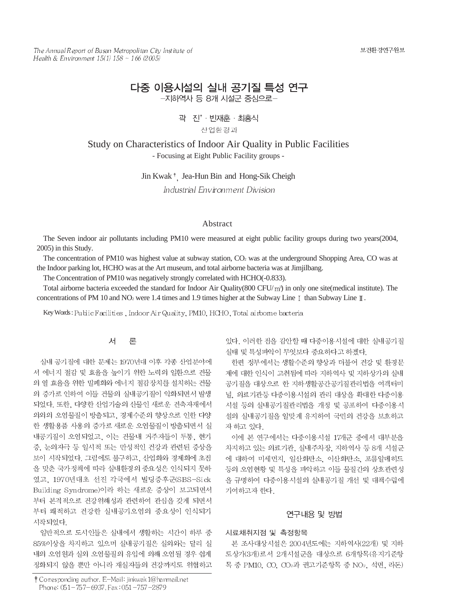The Annual Report of Busan Metropolitan City Institute of Health & Environment  $15(1)$   $158 \sim 166$  (2005)

# 다중 이용시설의 실내 공기질 특성 연구 -지하역사 등 8개 시설군 중심으로-

## 곽 진 · 빈재훈 · 최홍식

산업환경과

Study on Characteristics of Indoor Air Quality in Public Facilities - Focusing at Eight Public Facility groups -

Jin Kwak<sup>†</sup>, Jea-Hun Bin and Hong-Sik Cheigh

Industrial Environment Division

#### Abstract

The Seven indoor air pollutants including PM10 were measured at eight public facility groups during two years(2004, 2005) in this Study.

The concentration of PM10 was highest value at subway station,  $CO<sub>2</sub>$  was at the underground Shopping Area, CO was at the Indoor parking lot, HCHO was at the Art museum, and total airborne bacteria was at Jimjilbang.

The Concentration of PM10 was negatively strongly correlated with HCHO(-0.833).

Total airborne bacteria exceeded the standard for Indoor Air Quality(800 CFU/ $\rm m^3$ ) in only one site(medical institute). The concentrations of PM 10 and NO<sub>2</sub> were 1.4 times and 1.9 times higher at the Subway Line  $\mathbb I$  than Subway Line  $\mathbb I$ .

Key Words: Public Facilities, Indoor Air Quality, PM10, HCHO, Total airbome bacteria

#### 서 론

실내 공기질에 대한 문제는 1970년대 이후 각종 산업분야에 서 에너지 절감 및 효율을 높이기 위한 노력의 일환으로 건물 의 열 효율을 위한 밀폐화와 에너지 절감장치를 설치하는 건물 의 증가로 인하여 이들 건물의 실내공기질이 악화되면서 발생 되었다. 또한, 다양한 산업기술의 산물인 새로운 건축자재에서 의외의 오염물질이 방출되고, 경제수준의 향상으로 인한 다양 한 생활용품 사용의 증가로 새로운 오염물질이 방출되면서 실 내공기질이 오염되었고, 이는 건물내 거주자들이 두통, 현기 증, 눈의자극 등 일시적 또는 만성적인 건강과 관련된 증상을 보이 시작되었다. 그럼에도 불구하고, 산업화와 경제화에 초점 을 맞춘 국가정책에 따라 실내환경의 중요성은 인식되지 못하 였고, 1970년대초 선진 각국에서 빌딩증후군(SBS-Sick Building Syndrome)이라 하는 새로운 증상이 보고되면서 부터 본격적으로 건강위해성과 관련하여 관심을 갖게 되면서 부터 쾌적하고 건강한 실내공기오염의 중요성이 인식되기 시작되었다.

일반적으로 도시인들은 실내에서 생활하는 시간이 하루 중 85%이상을 차지하고 있으며 실내공기질은 실외와는 달리 실 내의 오염원과 실외 오염물질의 유입에 의해 오염될 경우 쉽게 정화되지 않을 뿐만 아니라 재실자들의 건강까지도 위협하고

† Corresponding author. E-Mail: jinkwak 1@hanmail.net Phone: 051-757-6937, Fax: 051-757-2879

있다. 이러한 점을 감안할 때 다중이용시설에 대한 실내공기질 실태 및 특성파악이 무엇보다 중요하다고 하겠다.

한편 정부에서는 생활수준의 향상과 더불어 건강 및 환경문 제에 대한 인식이 고취됨에 따라 지하역사 및 지하상가의 실내 공기질을 대상으로 한 지하생활공간공기질관리법을 여객터미 널, 의료기관등 다중이용시설의 관리 대상을 확대한 다중이용 시설 등의 실내공기질관리법을 개정 및 공포하여 다중이용시 설의 실내공기질을 알맞게 유지하여 국민의 건강을 보호하고 자 하고 있다.

이에 본 연구에서는 다중이용시설 17개군 중에서 대부분을 차지하고 있는 의료기관, 실내주차장, 지하역사 등 8개 시설군 에 대하여 미세먼지, 일산화탄소, 이산화탄소, 포름알데히드 등의 오염현황 및 특성을 파악하고 이들 물질간의 상호관련성 을 규명하여 다중이용시설의 실내공기질 개선 및 대책수립에 기여하고자 한다.

#### 연구내용 및 방법

## 시료채취지점 및 측정항목

본 조사대상시설은 2004년도에는 지하역사(22개) 및 지하 도상가(3개)로서 2개시설군을 대상으로 6개항목(유지기준항 목 중 PM10, CO, CO2과 권고기준항목 중 NO2, 석면, 라돈)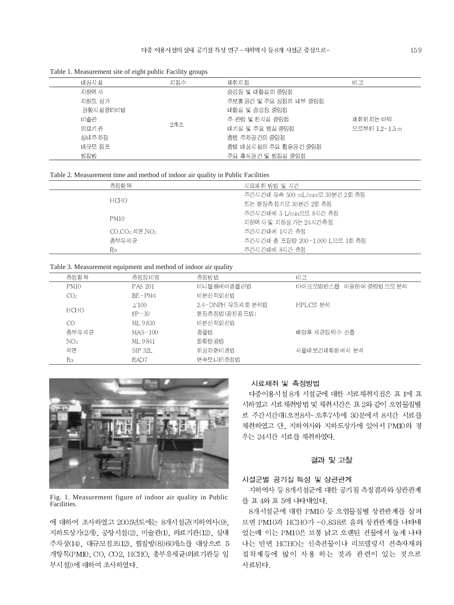Table 1. Measurement site of eight public Facility groups

| 대상시설     | 지접수 | 채취지 점                 | 비고             |
|----------|-----|-----------------------|----------------|
| 지하역사     |     | 승강장 및 대합실의 중앙점        |                |
| 지하도 상가   |     | 주보행공간 및 주요 상점의 내부 중앙점 |                |
| 공항시설중터미널 |     | 대합실 및 승강장 중앙점         |                |
| 미술관      |     | 주 관람 및 전시실 중앙점        | 채취위 치는 바닥      |
| 의료기관     | 2개소 | 대기실 및 주요 병실 중앙점       | 으로부터 1.2~1.5 m |
| 실내주차장    |     | 층별 주차공간의 중앙점          |                |
| 대규모 점포   |     | 층별 대상시설의 주요 활용공간 중앙점  |                |
| 찜질방      |     | 주요 휴식공간 및 찜질실 중앙점     |                |

| Table 2. Measurement time and method of indoor air quality in Public Facilities |  |  |  |
|---------------------------------------------------------------------------------|--|--|--|
|---------------------------------------------------------------------------------|--|--|--|

|             | 측정항목                      | 시료채취 방법 및 시간                     |
|-------------|---------------------------|----------------------------------|
|             |                           | 주간시 간대 유속 500 mL/min로 30분간 2회 측정 |
| HCHO.       |                           | 또는 현장측정기로 30분간 2회 측정             |
|             |                           | 주간시간대에 5 L/min으로 8시간 측정          |
| <b>PM10</b> |                           | 지하역 사 및 지하상 가는 24 시간측정           |
|             | $CO$ . $CO_2$ .석면. $NO_2$ | 주간시간대에 1시간 측정                    |
|             | 총부유세균                     | 주간시 간대 총 포집량 200~1.000 L으로 1회 측정 |
| Rn          |                           | 주가시가대에 8시가 측정                    |

## Table 3. Measurement equipment and method of indoor air quality

| 측정항목            | 측정장 비명         | 측정방법              | 비고                     |
|-----------------|----------------|-------------------|------------------------|
| <b>PM10</b>     | <b>PAS 201</b> | 미니볼륨에어샘플러법        | 마이크로발란스를 이용하여 중량법으로 분석 |
| CO <sub>2</sub> | $BE-PM4$       | 비분산적외선법           |                        |
|                 | $\angle 100$   | 2.4-DNPH 유도체화 분석법 | HPLC로 분석               |
| <b>HCHO</b>     | $FP-30$        | 현장측정법(광저광도법)      |                        |
| CO              | ML 9830        | 비분산적외선법           |                        |
| 총부유세균           | $MAS-100$      | 충돌법               | 배양후 세균집락수 산출           |
| NO <sub>2</sub> | ML 9841        | 화학발 광법            |                        |
| 석면              | <b>SIP 32L</b> | 위상차현미경법           | 서울대 보건대학원에서 분석         |
| Rn              | RAD7           | 연속모니터측정법          |                        |



Fig. 1. Measurement figure of indoor air quality in Public Facilities.

에 대하여 조사하였고 2005년도에는 8개시설군(지하역사(9). 지하도상가(2개), 공항시설(2), 미술관(1), 의료기관(12), 실내 주차장(14), 대규모점포(12), 찜질방(8))60개소를 대상으로 5 개항목(PM10, CO, CO2, HCHO, 총부유세균(의료기관등 일 부시설))에 대하여 조사하였다.

## 시료채취 및 측정방법

다중이용시설 8개 시설군에 대한 시료채취지점은 표 1에 표 시하였고 시료채취방법 및 채취시간은 표 2와 같이 오염물질별 로 주간시간대(오전8시~오후7시)에 30분에서 8시간 시료를 채취하였고 단, 지하역사와 지하도상가에 있어서 PM10의 경 우는 24시간 시료를 채취하였다.

### 결과 및 고찰

#### 시설군별 공기질 특성 및 상관관계

지하역사 등 8개시설군에 대한 공기질 측정결과와 상관관계 를 표 4와 표 5에 나타내었다.

8개시설군에 대한 PM10 등 오염물질별 상관관계를 살펴 보면 PM10과 HCHO가 -0.838로 음의 상관관계를 나타내 었는데 이는 PM10은 보통 낡고 오랜된 건물에서 높게 나타 나는 반면 HCHO는 신축건물이나 리모델링시 건축자재의 접착제등에 많이 사용 하는 것과 관련이 있는 것으로 사료된다.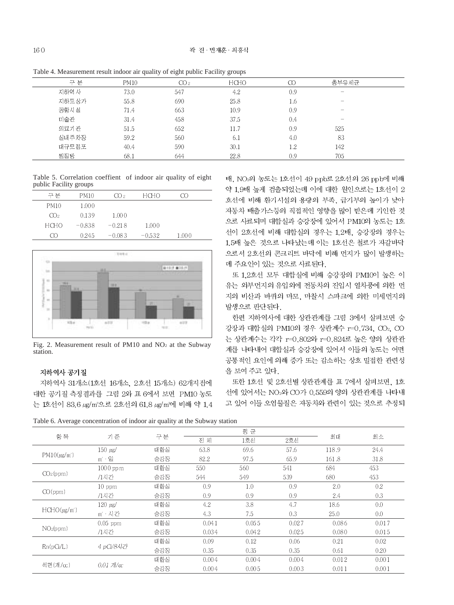Table 4. Measurement result indoor air quality of eight public Facility groups

|        |             | $\epsilon$<br>ັ<br>$\mathbf{r}$ | - -         |          |                                 |  |
|--------|-------------|---------------------------------|-------------|----------|---------------------------------|--|
| 구 부    | <b>PM10</b> | CO <sub>2</sub>                 | <b>HCHO</b> | $\infty$ | 총부유세균                           |  |
| 지하역 사  | 73.0        | 547                             | 4.2         | 0.9      | $\hspace{0.1mm}-\hspace{0.1mm}$ |  |
| 지하도 상가 | 55.8        | 690                             | 25.8        | 1.6      | $\hspace{0.1mm}-\hspace{0.1mm}$ |  |
| 공항시 설  | 71.4        | 663                             | 10.9        | 0.9      | $\hspace{0.1mm}-\hspace{0.1mm}$ |  |
| 미술관    | 31.4        | 458                             | 37.5        | 0.4      | $\hspace{0.1mm}-\hspace{0.1mm}$ |  |
| 의료기 관  | 51.5        | 652                             | 11.7        | 0.9      | 525                             |  |
| 실내주차장  | 59.2        | 560                             | 6.1         | 4.0      | 83                              |  |
| 대규모 점포 | 40.4        | 590                             | 30.1        | 1.2      | 142                             |  |
| 찜질방    | 68.1        | 644                             | 22.8        | 0.9      | 705                             |  |

Table 5. Correlation coeffient of indoor air quality of eight public Facility groups

| 구부          | PM10     | CO 2     | HCHO     | [ Y ) |
|-------------|----------|----------|----------|-------|
| PM10        | 1.000    |          |          |       |
| CO2         | 0.139    | 1.000    |          |       |
| <b>HCHO</b> | $-0.838$ | $-0.218$ | 1.000    |       |
| ന           | 0.245    | $-0.083$ | $-0.532$ | 1.000 |



Fig. 2. Measurement result of PM10 and NO2 at the Subway station.

## 지하역사 공기질

지하역사 31개소(1호선 16개소, 2호선 15개소) 62개지점에 대한 공기질 측정결과를 그림 2와 표 6에서 보면 PM10 농도 는 1호선이 83.6 μg/m<sup>3</sup>으로 2호선의 61.8 μg/m<sup>3</sup>에 비해 약 1.4 배, NO<sup>2</sup>의 농도는 1호선이 49 ppb로 2호선의 26 ppb에 비해 약 1.9배 높게 검출되었는데 이에 대한 원인으로는 1호선이 2 호선에 비해 환기시설의 용량의 부족, 급기부의 높이가 낮아 자동차 배출가스등의 직접적인 영향을 많이 받은데 기인한 것 으로 사료되며 대합실과 승강장에 있어서 PM10의 농도는 1호 선이 2호선에 비해 대합실의 경우는 1.2배, 승강장의 경우는 1.5배 높은 것으로 나타났는데 이는 1호선은 철로가 자갈바닥 으로서 2호선의 콘크리트 바닥에 비해 먼지가 많이 발생하는 데 주요인이 있는 것으로 사료된다.

또 1.2호선 모두 대합실에 비해 승강장의 PM10이 높은 이 유는 외부먼지의 유입외에 전동차의 진입시 열차풍에 의한 먼 지의 비산과 바퀴의 마모, 마찰시 스파크에 의한 미세먼지의 발생으로 판단된다.

한편 지하역사에 대한 상관관계를 그림 3에서 살펴보면 승 강장과 대합실의 PM10의 경우 상관계수 r=0.734, CO2, CO 는 상관계수는 각각 r=0.802와 r=0.824로 높은 양의 상관관 계를 나타내어 대합실과 승강장에 있어서 이들의 농도는 어떤 공통적인 요인에 의해 증가 또는 감소하는 상호 밀접한 관련성 을 보여 주고 있다.

또한 1호선 및 2호선별 상관관계를 표 7에서 살펴보면, 1호 선에 있어서는 NO2와 CO가 0.559의 양의 상관관계를 나타내 고 있어 이들 오염물질은 자동차와 관련이 있는 것으로 추정되

Table 6. Average concentration of indoor air quality at the Subway station

|                       |                             | $\overline{ }$ |       |       |       |       |       |
|-----------------------|-----------------------------|----------------|-------|-------|-------|-------|-------|
|                       |                             |                |       | 평 균   |       |       |       |
| 항<br>목                | 기 준                         | 구분             | 전 체   | 1호선   | 2호선   | 최대    | 최소    |
|                       | $150~\mu{\rm g}$            | 대합실            | 63.8  | 69.6  | 57.6  | 118.9 | 24.4  |
| $PM10(\mu g/m')$      | $m' \cdot 2$                | 승강장            | 82.2  | 97.5  | 65.9  | 161.8 | 31.8  |
|                       | $1000$ pp m                 | 대합실            | 550   | 560   | 541   | 684   | 453   |
| CO <sub>2</sub> (ppm) | /1시간                        | 승강장            | 544   | 549   | 539   | 680   | 453   |
|                       | $10$ ppm                    | 대합실            | 0.9   | 1.0   | 0.9   | 2.0   | 0.2   |
| CO(ppm)               | /1시간                        | 승강장            | 0.9   | 0.9   | 0.9   | 2.4   | 0.3   |
|                       | $120 \text{ }\mu\text{g}$   | 대합실            | 4.2   | 3.8   | 4.7   | 18.6  | 0.0   |
| $HCHO(\mu g/m')$      | m'·시간                       | 승강장            | 4.3   | 7.5   | 0.3   | 25.0  | 0.0   |
|                       | $0.05$ ppm                  | 대합실            | 0.041 | 0.055 | 0.027 | 0.086 | 0.017 |
| NOz(ppm)              | /1시간                        | 승강장            | 0.034 | 0.042 | 0.025 | 0.080 | 0.015 |
|                       |                             | 대합실            | 0.09  | 0.12  | 0.06  | 0.21  | 0.02  |
| Rn(pCi/L)             | 4 pCi/8시간                   | 승강장            | 0.35  | 0.35  | 0.35  | 0.61  | 0.20  |
|                       |                             | 대합실            | 0.004 | 0.004 | 0.004 | 0.012 | 0.001 |
| 석면(개/cc)              | $0.01$ $\frac{\pi}{\alpha}$ | 승강장            | 0.004 | 0.005 | 0.003 | 0.011 | 0.001 |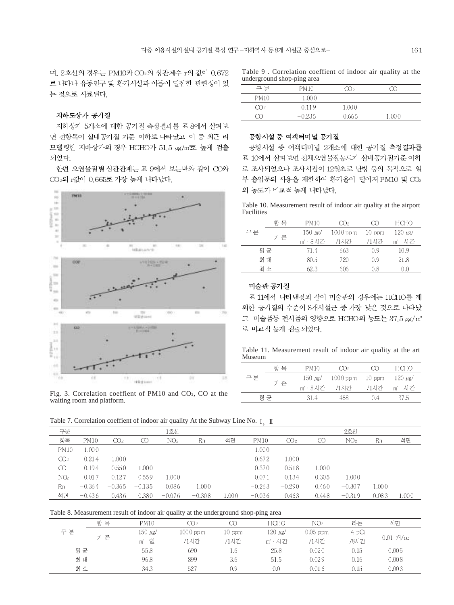며, 2호선의 경우는 PM10과 CO2의 상관계수 r의 값이 0.672 로 나타나 유동인구 및 환기시설과 이들이 밀접한 관련성이 있 는 것으로 사료된다.

#### 지하도상가 공기질

지하상가 5개소에 대한 공기질 측정결과를 표 8에서 살펴보 면 전항목이 실내공기질 기준 이하로 나타났고 이 중 최근 리 모델링한 지하상가의 경우 HCHO가 51.5 ug/m3로 높게 검출 되었다.

한편 오염물질별 상관관계는 표 9에서 보는바와 같이 CO와 CO<sub>2</sub>의 r값이 0.665로 가장 높게 나타났다.



Fig. 3. Correlation coeffient of PM10 and CO2, CO at the waiting room and platform.

Table 9 . Correlation coeffient of indoor air quality at the underground shop-ping area

|             | __       |       |       |  |
|-------------|----------|-------|-------|--|
| 구 부         | PM10     | 〔【〕?  |       |  |
| <b>PM10</b> | 1.000    |       |       |  |
| CO2         | $-0.119$ | 1.000 |       |  |
|             | $-0.235$ | 0.665 | 1.000 |  |
|             |          |       |       |  |

#### 공항시설 중 여객터미널 공기질

공항시설 중 여객터미널 2개소에 대한 공기질 측정결과를 표 10에서 살펴보면 전체오염물질농도가 실내공기질기준 이하 로 조사되었으나 조사시점이 12월초로 난방 등의 목적으로 일 부 출입문의 사용을 제한하여 환기율이 떨어져 PM10 및 CO2 의 농도가 비교적 높게 나타났다.

Table 10. Measurement result of indoor air quality at the airport Facilities

|    | 핫 목 | PM10     | CO2         |          | HCHO         |
|----|-----|----------|-------------|----------|--------------|
| 구분 |     | 150 ug/  | $1000$ pp m | $10$ ppm | $120 \mu$ g/ |
|    | 기 준 | m' · 8시가 | /1시가        | /1시간     | m' · 시간      |
|    | 평균  | 71.4     | 663         | 0.9      | 10.9         |
|    | 최 대 | 80.5     | 720         | 0.9      | 21.8         |
|    | 최소  | 62.3     | 606         | 0.8      | 0.0          |

#### 미술관 공기질

표 11에서 나타낸것과 같이 미술관의 경우에는 HCHO를 제 외한 공기질의 수준이 8개시설군 중 가장 낮은 것으로 나타났 고 미술품등 전시품의 영향으로 HCHO의 농도는 37.5 μg/m<sup>3</sup> 로 비교적 높게 검출되었다.

Table 11. Measurement result of indoor air quality at the art Museum

|    | 항 목 | PM10                      | CD <sub>2</sub>            | ന   | <b>HCHO</b>     |
|----|-----|---------------------------|----------------------------|-----|-----------------|
| 구부 | 기 준 | $150 \text{ }\mu\text{s}$ | $1000$ מפק $10$ $10$ $\mu$ |     | $120 \mu$ g/    |
|    |     | m' 8시가 - /1시간             |                            |     | - /1시간 - ㎡ · 시간 |
|    | 평 규 | -31.4                     | 458                        | 0.4 | -37.5           |

Table 7. Correlation coeffient of indoor air quality At the Subway Line No. I I

| 구분              |             |                 |          | 1호선             |          |       |             |                 |          | 2호선             |       |       |
|-----------------|-------------|-----------------|----------|-----------------|----------|-------|-------------|-----------------|----------|-----------------|-------|-------|
| 항목              | <b>PM10</b> | CO <sub>2</sub> | $\rm CO$ | NO <sub>2</sub> | Rn       | 석면    | <b>PM10</b> | CO <sub>2</sub> | $\infty$ | NO <sub>2</sub> | Rn    | 석면    |
| <b>PM10</b>     | 1.000       |                 |          |                 |          |       | 1.000       |                 |          |                 |       |       |
| CO <sub>2</sub> | 0.214       | 1.000           |          |                 |          |       | 0.672       | 1.000           |          |                 |       |       |
| CO.             | 0.194       | 0.550           | 1.000    |                 |          |       | 0.370       | 0.518           | 1.000    |                 |       |       |
| NO <sub>2</sub> | 0.017       | $-0.127$        | 0.559    | 1.000           |          |       | 0.071       | 0.134           | $-0.305$ | 1.000           |       |       |
| Rn              | $-0.364$    | $-0.365$        | $-0.135$ | 0.086           | 1.000    |       | $-0.263$    | $-0.290$        | 0.460    | $-0.307$        | 1.000 |       |
| 석면              | $-0.436$    | 0.436           | 0.380    | $-0.076$        | $-0.308$ | 1.000 | $-0.036$    | 0.463           | 0.448    | $-0.319$        | 0.083 | 1.000 |

Table 8. Measurement result of indoor air quality at the underground shop-ping area

|     |     |                   |             | ັ        | $\overline{\phantom{0}}$ |                 |       |                                    |
|-----|-----|-------------------|-------------|----------|--------------------------|-----------------|-------|------------------------------------|
|     | 항 목 | <b>PM10</b>       | CO2         | CC       | <b>HCHO</b>              | NO <sub>2</sub> | 라돈    | 석면                                 |
| 구 분 |     | $150~\mu{\rm g}/$ | $1000$ pp m | $10$ ppm | 120 $\mu$ g/             | $0.05$ ppm      | 4 pCi |                                    |
|     | 기 준 | $m' \cdot 2$      | /1시가        | /1시가     | m' · 시간                  | /1시간            | /8시간  | $0.01$ $\frac{\text{m}}{\text{m}}$ |
| 평 균 |     | 55.8              | 690         | 1.6      | 25.8                     | 0.020           | 0.15  | 0.005                              |
| 최 대 |     | 96.8              | 899         | 3.6      | 51.5                     | 0.029           | 0.16  | 0.008                              |
| 최소  |     | 34.3              | 527         | 0.9      | 0.0                      | 0.016           | 0.15  | 0.003                              |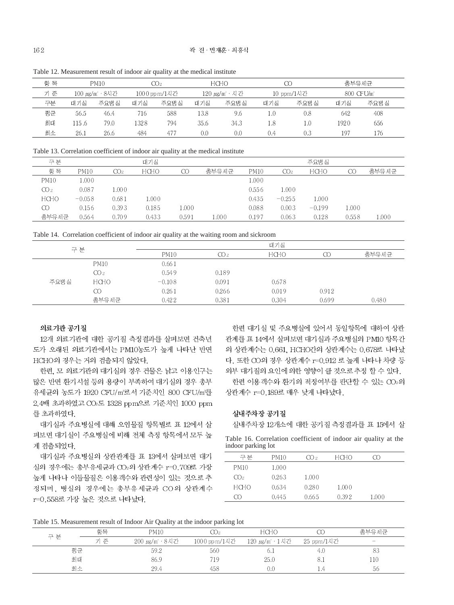| Table 12. Measurement result of indoor air quality at the medical institute |  |
|-----------------------------------------------------------------------------|--|
|                                                                             |  |

| 항 목 | <b>PM10</b>   |       | CO2. |               | <b>HCHO</b>   |      |            |         | 총부유세균     |       |
|-----|---------------|-------|------|---------------|---------------|------|------------|---------|-----------|-------|
| 기 준 | 100 μg/m′·8시간 |       |      | 1000 pp m/1시간 | 120 µg/m · 시간 |      | 10 ppm/1시간 |         | 800 CFU/m |       |
| 구분  | 대기실           | 주요병 실 | 대기실  | 주요병실          | 대기실           | 주요병실 | 대기실        | 주요병 실   | 대기실       | 주요병 실 |
| 평균  | 56.5          | 46.4  | 716  | 588           | 13.8          | 9.6  | 1.0        | 0.8     | 642       | 408   |
| 최대  | .15.6         | 79.0  | 1328 | 794           | 35.6          | 34.3 | 1.8        | $1.0\,$ | 1920      | 656   |
| 최소  | 26.1          | 26.6  | 484  | 477           | 0.0           | 0.0  | 0.4        | 0.3     | 197       | 176   |

Table 13. Correlation coefficient of indoor air quality at the medical institute

| 구분              |             |       | 대기실   |       |       |       |                 | 주요병실     |       |       |
|-----------------|-------------|-------|-------|-------|-------|-------|-----------------|----------|-------|-------|
| 항 목             | <b>PM10</b> | CO2.  | HCHO  | CC    | 총부유세균 | PM10  | CO <sub>2</sub> | HCHO     | CC    | 총부유세균 |
| <b>PM10</b>     | 1.000       |       |       |       |       | 1.000 |                 |          |       |       |
| CO <sub>2</sub> | 0.087       | .000  |       |       |       | 0.556 | 000. I          |          |       |       |
| HCHO            | $-0.058$    | 0.681 | .000  |       |       | 0.435 | $-0.255$        | 1.000    |       |       |
| CO              | 0.156       | 0.393 | 0.185 | 1.000 |       | 0.088 | 0.003           | $-0.199$ | 1.000 |       |
| 총부유세균           | 0.564       | 0.709 | 0.433 | 0.591 | .000  | 0.197 | 0.063           | 0.128    | 0.558 | 1.000 |

Table 14. Correlation coefficient of indoor air quality at the waiting room and sickroom

|  |       |                 | $\tilde{\phantom{a}}$ | $\tilde{}$  |       |       |       |
|--|-------|-----------------|-----------------------|-------------|-------|-------|-------|
|  | 구 분   |                 |                       |             | 대기실   |       |       |
|  |       | <b>PM10</b>     | CO <sub>2</sub>       | <b>HCHO</b> | CC    | 총부유세균 |       |
|  |       | <b>PM10</b>     | 0.661                 |             |       |       |       |
|  |       | CO <sub>2</sub> | 0.549                 | 0.189       |       |       |       |
|  | 주요병 실 | <b>HCHO</b>     | $-0.108$              | 0.091       | 0.678 |       |       |
|  |       | CO              | 0.261                 | 0.266       | 0.019 | 0.912 |       |
|  |       | 총부유세균           | 0.422                 | 0.381       | 0.304 | 0.699 | 0.480 |
|  |       |                 |                       |             |       |       |       |

## 의료기관 공기질

12개 의료기관에 대한 공기질 측정결과를 살펴보면 건축년 도가 오래된 의료기관에서는 PM10농도가 높게 나타난 반면 HCHO의 경우는 거의 검출되지 않았다.

한편, 모 의료기관의 대기실의 경우 건물은 낡고 이용인구는 많은 반면 환기시설 등의 용량이 부족하여 대기실의 경우 총부 유세균의 농도가 1920 CFU/m'로서 기준치인 800 CFU/m'를 2.4배 초과하였고 CO2도 1328 ppm으로 기준치인 1000 ppm 를 초과하였다.

대기실과 주요병실에 대해 오염물질 항목별로 표 12에서 살 펴보면 대기실이 주요병실에 비해 전체 측정 항목에서 모두 높 게 검출되었다.

대기실과 주요병실의 상관관계를 표 13에서 살펴보면 대기 실의 경우에는 총부유세균과 CO2의 상관계수 r=0.709로 가장 높게 나타나 이들물질은 이용객수와 관련성이 있는 것으로 추 정되며, 병실의 경우에는 총부유세균과 CO의 상관계수 r=0.558로 가장 높은 것으로 나타났다.

한편 대기실 및 주요병실에 있어서 동일항목에 대하여 상관 관계를 표 14에서 살펴보면 대기실과 주요병실의 PM10 항목간 의 상관계수는 0.661, HCHO간의 상관계수는 0.678로 나타났 다. 또한 CO의 경우 상관계수 r=0.912 로 높게 나타나 차량 등 외부 대기질의 요인에 의한 영향이 클 것으로 추정 할 수 있다.

한편 이용객수와 환기의 적정여부를 판단할 수 있는 CO2의 상관계수 r=0.189로 매우 낮게 나타났다.

## 실내주차장 공기질

실내주차장 12개소에 대한 공기질 측정결과를 표 15에서 살

Table 16. Correlation coefficient of indoor air quality at the indoor parking lot

| 구부          | PM10  | CO 2  | HCHO  | . Y ) |  |
|-------------|-------|-------|-------|-------|--|
| <b>PM10</b> | 1.000 |       |       |       |  |
| CO2         | 0.263 | 1.000 |       |       |  |
| <b>HCHO</b> | 0.634 | 0.280 | 1.000 |       |  |
| M           | 0.445 | 0.665 | 0.392 | 1.000 |  |
|             |       |       |       |       |  |

Table 15. Measurement result of Indoor Air Quality at the indoor parking lot

| 구분 | 항목  | PM10           | CO2            | <b>HCHO</b>           |            | 총부유세균  |
|----|-----|----------------|----------------|-----------------------|------------|--------|
|    | 기 준 | 200 μg/m · 8시간 | 100 0 pp m/1시간 | 120 <i>µg</i> /m′·1시간 | 25 ppm/1시간 | $\sim$ |
| 평군 |     | 59.2           | 560            | b. I                  | 4.0        | 33     |
| 최대 |     | 86.9           | 719            | 25.0                  | -8.1       | 110    |
| 최소 |     | 29.4           | 458            | 0.C                   |            | 56     |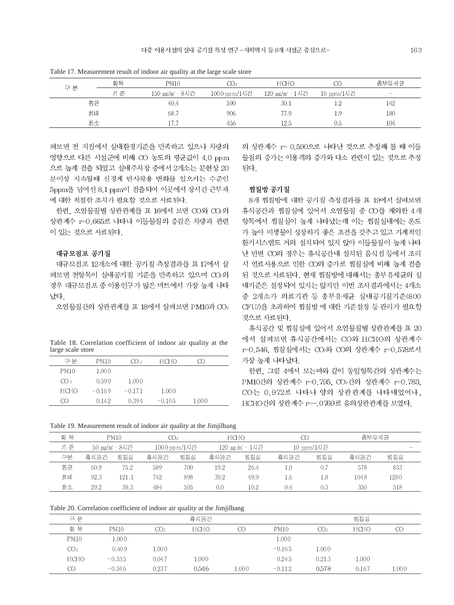|  |     | 항목  | <b>PM10</b>   | CO2          | HCHO                  | CO         | 총부유세균                                 |  |
|--|-----|-----|---------------|--------------|-----------------------|------------|---------------------------------------|--|
|  | 구 분 | 기 주 | 150 µg/m′·8시간 | 1000 ppm/1시간 | 120 <i>µg</i> /m′·1시간 | 10 ppm/1시간 | $\hspace{1.0cm} \rule{1.5cm}{0.15cm}$ |  |
|  | 평군  |     | 40.4          | 590          | 30.1                  | 1.2        | 142                                   |  |
|  | 최대  |     | 68.7          | 906          | 77.9                  | 1.9        | 180                                   |  |
|  | 최소  |     |               | 456          | 12.5                  | 0.5        | 104                                   |  |

Table 17. Measurement result of indoor air quality at the large scale store

펴보면 전 지점에서 실내환경기준을 만족하고 있으나 차량의 영향으로 다른 시설군에 비해 CO 농도의 평균값이 4.0 ppm 으로 높게 검출 되었고 실내주차장 중에서 2개소는 문헌상 20 분이상 지속될때 신경계 반사작용 변화를 일으키는 수준인 5ppm을 넘어선 8.1 ppm이 검출되어 이곳에서 장시간 근무자 에 대한 적절한 조치가 필요할 것으로 사료된다.

한편, 오염물질별 상관관계를 표 16에서 보면 CO와 CO2의 상관계수 r=0.665로 나타나 이들물질의 증감은 차량과 관련 이 있는 것으로 사료된다.

#### 대규모점포 공기질

대규모점포 12개소에 대한 공기질 측정결과를 표 17에서 살 펴보면 전항목이 실내공기질 기준을 만족하고 있으며 CO2의 경우 대규모점포 중 이용인구가 많은 마트에서 가장 높게 나타 났다

오염물질간의 상관관계를 표 18에서 살펴보면 PM10과 CO2

Table 18. Correlation coefficient of indoor air quality at the large scale store

| 구부          | PM10     | CO 2     | <b>HCHO</b> | M     |
|-------------|----------|----------|-------------|-------|
| <b>PM10</b> | 1.000    |          |             |       |
| CO2         | 0.590    | 1.000    |             |       |
| HCHO        | $-0.169$ | $-0.171$ | 1.000       |       |
| സ           | 0.142    | 0.394    | $-0.105$    | 1.000 |

의 상관계수 r= 0.590으로 나타난 것으로 추정해 볼 때 이들 물질의 증가는 이용객의 증가와 다소 관련이 있는 것으로 추정 되다.

#### 찜질방 공기질

8개 찜질방에 대한 공기질 측정결과를 표 19에서 살펴보면 휴식공간과 찜질실에 있어서 오염물질 중 CO를 제외한 4개 항목에서 찜질실이 높게 나타났는데 이는 찜질실내에는 온도 가 높아 미생물이 성장하기 좋은 조건을 갖추고 있고 기계적인 환기시스템도 거의 설치되어 있지 않아 이들물질이 높게 나타 난 반면 CO의 경우는 휴식공간내 설치된 음식점 등에서 조리 시 연료사용으로 인한 CO의 증가로 찜질실에 비해 높게 검출 된 것으로 사료된다. 현재 찜질방에 대해서는 총부유세균의 실 내기준은 설정되어 있지는 않지만 이번 조사결과에서는 4개소 중 2개소가 의료기관 등 총부유세균 실내공기질기준(800 CFU/)을 초과하여 찜질방 에 대한 기준설정 등 관리가 필요할 것으로 사료된다.

휴식공간 및 찜질실에 있어서 오염물질별 상관관계를 표 20 에서 살펴보면 휴식공간에서는 CO와 HCHO의 상관계수 r=0.546, 찜질실에서는 CO2와 CO의 상관계수 r=0.578로서 가장 높게 나타났다.

한편, 그림 4에서 보는바와 같이 동일항목간의 상관계수는 PM10간의 상관계수 r=0.795, CO2간의 상관계수 r=0.783, CO는 0.972로 나타나 양의 상관관계를 나타내었어나. HCHO간의 상관계수 r=-.0769로 음의상관관계를 보였다.

Table 19. Measurement result of indoor air quality at the Jimjilbang

| 항 목 | <b>PM10</b>  |       | CO2.                            |     | <b>HCHO</b> |      |      |     | 총부유세균        |      |  |
|-----|--------------|-------|---------------------------------|-----|-------------|------|------|-----|--------------|------|--|
| 기 준 | 50 µg/m′·8시간 |       | 1000 pp m/1시간<br>120 µg/m · 1시간 |     | 10 ppm/1시간  |      |      |     | <b>STATE</b> |      |  |
| 구분  | 휴식공간         | 찜질실   | 휴식공간                            | 찜질실 | 휴식공간        | 찜질실  | 휴식공간 | 찜질실 | 휴식공간         | 찜질실  |  |
| 평균  | 60.9         | 75.2  | 589                             | 700 | 19.2        | 26.4 | 1.0  | 0.7 | 578          | 833  |  |
| 최대  | 92.3         | 121.1 | 742                             | 898 | 39.2        | 49.9 | 1.6  | 1.8 | 1048         | 1280 |  |
| 최소  | 29.2         | 39.3  | 484                             | 505 | 0.0         | 10.2 | 0.4  | 0.3 | 350          | 518  |  |

Table 20. Correlation coefficient of indoor air quality at the Jimjilbang

| 분<br>그          |             |       | 휴식공간        |       |             |       | 찜질실   |       |
|-----------------|-------------|-------|-------------|-------|-------------|-------|-------|-------|
| 항<br>목          | <b>PM10</b> | CO2.  | <b>HCHO</b> | Œ     | <b>PM10</b> | CO2.  | hcho  | CC    |
| <b>PM10</b>     | 1.000       |       |             |       | 1.000       |       |       |       |
| CO <sub>2</sub> | 0.409       | 1.000 |             |       | $-0.165$    | 1.000 |       |       |
| <b>HCHO</b>     | $-0.335$    | 0.047 | 000.1       |       | 0.245       | 0.213 | 1.000 |       |
| CO              | $-0.346$    | 0.237 | 0.546       | 1.000 | $-0.112$    | 0.578 | 0.167 | 1.000 |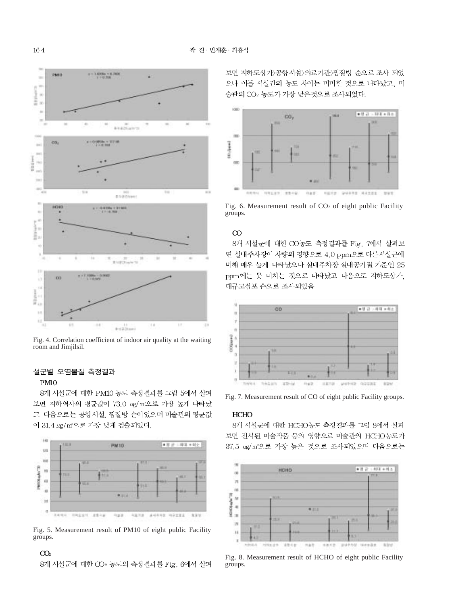

Fig. 4. Correlation coefficient of indoor air quality at the waiting room and Jimjilsil.

## 설군별 오염물질 측정결과

#### PM<sub>0</sub>

8개 시설군에 대한 PM10 농도 측정결과를 그림 5에서 살펴 보면 지하역사의 평균값이 73.0 μg/m<sup>3</sup>으로 가장 높게 나타났 고 다음으로는 공항시설, 찜질방 순이었으며 미술관의 평균값 이 31.4 µg/m2로 가장 낮게 검출되었다.



Fig. 5. Measurement result of PM10 of eight public Facility groups.

## $CO<sub>2</sub>$

8개 시설군에 대한 CO2 농도의 측정결과를 Fig. 6에서 살펴

보면 지하도상가〉공항시설〉의료기관〉찜질방 순으로 조사 되었 으나 이들 시설간의 농도 차이는 미미한 것으로 나타났고, 미 술관의 CO2 농도가 가장 낮은것으로 조사되었다.



Fig. 6. Measurement result of  $CO<sub>2</sub>$  of eight public Facility groups.

## $\infty$

8개 시설군에 대한 CO농도 측정결과를 Fig. 7에서 살펴보 면 실내주차장이 차량의 영향으로 4.0 ppm으로 다른시설군에 비해 매우 높게 나타났으나 실내주차장 실내공기질 기준인 25 ppm에는 못 미치는 것으로 나타났고 다음으로 지하도상가. 대규모점포 순으로 조사되었음



Fig. 7. Measurement result of CO of eight public Facility groups.

### **HCHO**

8개 시설군에 대한 HCHO농도 측정결과를 그림 8에서 살펴 보면 전시된 미술작품 등의 영향으로 미술관의 HCHO농도가 37.5 ug/m2로 가장 높은 것으로 조사되었으며 다음으로는



Fig. 8. Measurement result of HCHO of eight public Facility groups.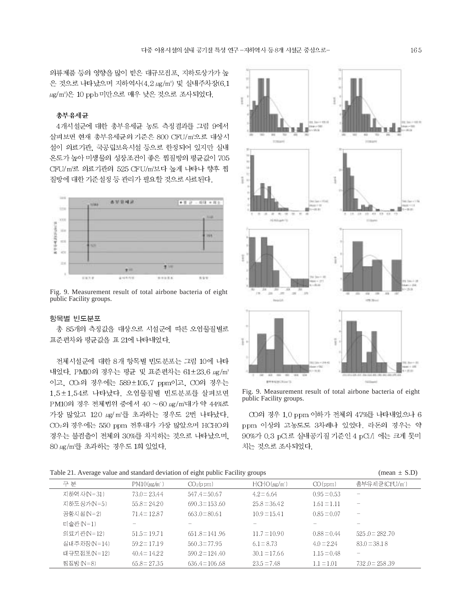의류제품 등의 영향을 많이 받은 대규모점포, 지하도상가가 높 은 것으로 나타났으며 지하역사(4.2 µg/m2) 및 실내주차장(6.1 μg/m<sup>3</sup>)은 10 ppb 미만으로 매우 낮은 것으로 조사되었다.

## 총부유세균

4개시설군에 대한 총부유세균 농도 측정결과를 그림 9에서 살펴보면 현재 총부유세균의 기준은 800 CFU/m2으로 대상시 설이 의료기관, 국공립보육시설 등으로 한정되어 있지만 실내 온도가 높아 미생물의 성장조건이 좋은 찜질방의 평균값이 705 CFU/m'로 의료기관의 525 CFU/m'보다 높게 나타나 향후 찜 질방에 대한 기준설정 등 관리가 필요할 것으로 사료된다.



Fig. 9. Measurement result of total airbone bacteria of eight public Facility groups.

#### 항목별 빈도분포

총 85개의 측정값을 대상으로 시설군에 따른 오염물질별로 표준편차와 평균값을 표 21에 나타내었다.

전체시설군에 대한 8개 항목별 빈도분포는 그림 10에 나타 내었다. PM10의 경우는 평균 및 표준편차는 61±23.6 μg/m<sup>3</sup> 이고, CO2의 경우에는 589±105.7 ppm이고, CO의 경우는 1.5±1.54로 나타났다. 오염물질별 빈도분포를 살펴보면 PM10의 경우 전체법위 중에서 40 ~60 μg/m'대가 약 44%로 가장 많았고 120 ug/m3를 초과하는 경우도 2번 나타났다. CO<sub>2</sub>의 경우에는 550 ppm 전후대가 가장 많았으며 HCHO의 경우는 불검출이 전체의 30%를 차지하는 것으로 나타났으며. 80 µg/m 를 초과하는 경우도 1회 있었다.



Fig. 9. Measurement result of total airbone bacteria of eight public Facility groups.

CO의 경우 1.0 ppm 이하가 전체의 47%를 나타내었으나 6 ppm 이상의 고농도도 3차례나 있었다. 라돈의 경우는 약 90%가 0.3 pCi로 실내공기질 기준인 4 pCi/l 에는 크게 못미 치는 것으로 조사되었다.

#### Table 21. Average value and standard deviation of eight public Facility groups (mean  $\pm$  S.D)

| $\tilde{}$      |                                |                       |                  |                 |                          |
|-----------------|--------------------------------|-----------------------|------------------|-----------------|--------------------------|
| 구 분             | $PM10(\mu\text{g/m}^{\prime})$ | CO <sub>2</sub> (ppm) | $HCHO(\mu g/m')$ | CO(ppm)         | 총부유세균(CFU/m')            |
| 지하역 사(N=31)     | $73.0 \equiv 23.44$            | $547.4 \pm 50.67$     | $4.2 \pm 6.64$   | $0.95 \pm 0.53$ | -                        |
| 지하도 상가(N=5)     | $55.8 \pm 24.20$               | $690.3 \pm 153.60$    | $25.8 \pm 36.42$ | $1.61 \pm 1.11$ | $\overline{\phantom{m}}$ |
| 공항시 섬(N=2)      | $71.4 \pm 12.87$               | $663.0 \pm 80.61$     | $10.9 \pm 15.41$ | $0.85 \pm 0.07$ | $\overline{\phantom{a}}$ |
| 미술관 (N=1)       |                                |                       |                  |                 |                          |
| 의료기 관(N=12)     | $51.5 \pm 19.71$               | $651.8 \pm 141.96$    | $11.7 \pm 10.90$ | $0.88 \pm 0.44$ | $525.0 \pm 282.70$       |
| 실내주 차장 (N = 14) | $59.2 \pm 17.19$               | $560.3 \pm 77.95$     | $6.1 \pm 8.73$   | $4.0 \pm 2.24$  | $83.0 \pm 38.18$         |
| 대규모 적포(N=12)    | $40.4 \pm 14.22$               | $590.2 \pm 124.40$    | $30.1 \pm 17.66$ | $1.15 \pm 0.48$ | $\overline{\phantom{m}}$ |
| 찍질방 (N=8)       | $65.8 \pm 27.35$               | $636.4 \pm 106.68$    | $23.5 \pm 7.48$  | $1.1 \pm 1.01$  | $732.0 \pm 258.39$       |